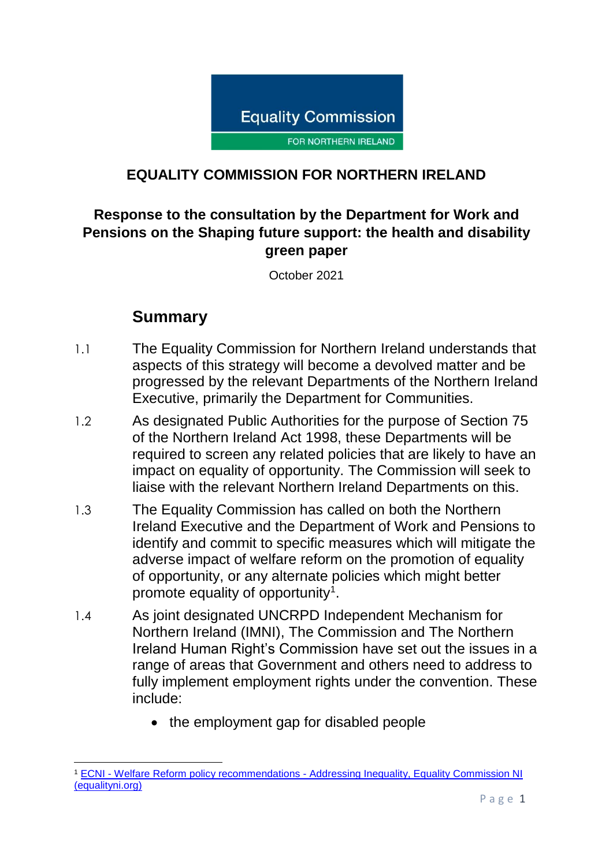

#### **EQUALITY COMMISSION FOR NORTHERN IRELAND**

### **Response to the consultation by the Department for Work and Pensions on the Shaping future support: the health and disability green paper**

October 2021

## **Summary**

- 1.1 The Equality Commission for Northern Ireland understands that aspects of this strategy will become a devolved matter and be progressed by the relevant Departments of the Northern Ireland Executive, primarily the Department for Communities.
- 1.2 As designated Public Authorities for the purpose of Section 75 of the Northern Ireland Act 1998, these Departments will be required to screen any related policies that are likely to have an impact on equality of opportunity. The Commission will seek to liaise with the relevant Northern Ireland Departments on this.
- 1.3 The Equality Commission has called on both the Northern Ireland Executive and the Department of Work and Pensions to identify and commit to specific measures which will mitigate the adverse impact of welfare reform on the promotion of equality of opportunity, or any alternate policies which might better promote equality of opportunity<sup>1</sup>.
- 1.4 As joint designated UNCRPD Independent Mechanism for Northern Ireland (IMNI), The Commission and The Northern Ireland Human Right's Commission have set out the issues in a range of areas that Government and others need to address to fully implement employment rights under the convention. These include:
	- the employment gap for disabled people

**<sup>.</sup>** <sup>1</sup> ECNI - Welfare Reform policy recommendations - [Addressing Inequality, Equality Commission NI](https://www.equalityni.org/WelfareReformPolicy)  [\(equalityni.org\)](https://www.equalityni.org/WelfareReformPolicy)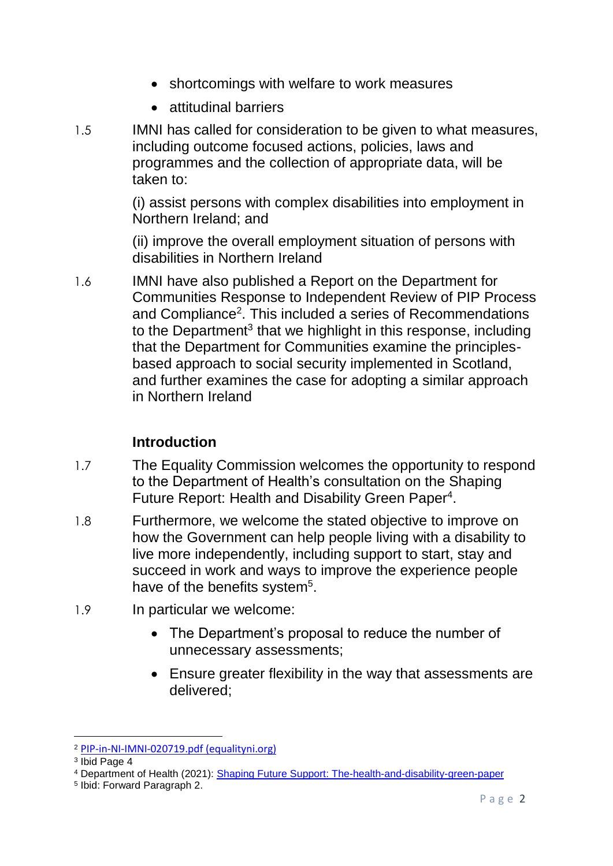- shortcomings with welfare to work measures
- attitudinal barriers
- 1.5 IMNI has called for consideration to be given to what measures, including outcome focused actions, policies, laws and programmes and the collection of appropriate data, will be taken to:

(i) assist persons with complex disabilities into employment in Northern Ireland; and

(ii) improve the overall employment situation of persons with disabilities in Northern Ireland

1.6 IMNI have also published a Report on the Department for Communities Response to Independent Review of PIP Process and Compliance<sup>2</sup>. This included a series of Recommendations to the Department<sup>3</sup> that we highlight in this response, including that the Department for Communities examine the principlesbased approach to social security implemented in Scotland, and further examines the case for adopting a similar approach in Northern Ireland

### **Introduction**

- 1.7 The Equality Commission welcomes the opportunity to respond to the Department of Health's consultation on the Shaping Future Report: Health and Disability Green Paper<sup>4</sup>.
- 1.8 Furthermore, we welcome the stated objective to improve on how the Government can help people living with a disability to live more independently, including support to start, stay and succeed in work and ways to improve the experience people have of the benefits system<sup>5</sup>.
- 1.9 In particular we welcome:
	- The Department's proposal to reduce the number of unnecessary assessments;
	- Ensure greater flexibility in the way that assessments are delivered;

<sup>2</sup> [PIP-in-NI-IMNI-020719.pdf \(equalityni.org\)](https://www.equalityni.org/ECNI/media/ECNI/Consultation%20Responses/2019/PIP-in-NI-IMNI-020719.pdf)

<sup>3</sup> Ibid Page 4

<sup>4</sup> Department of Health (2021): [Shaping Future Support: The-health-and-disability-green-paper](https://www.gov.uk/government/consultations/shaping-future-support-the-health-and-disability-green-paper/shaping-future-support-the-health-and-disability-green-paper)

<sup>5</sup> Ibid: Forward Paragraph 2.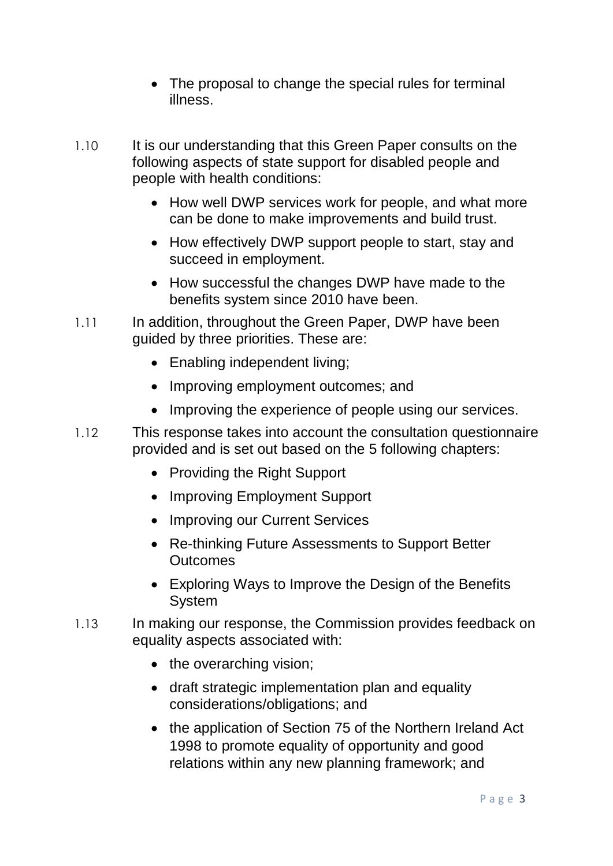- The proposal to change the special rules for terminal illness.
- 1.10 It is our understanding that this Green Paper consults on the following aspects of state support for disabled people and people with health conditions:
	- How well DWP services work for people, and what more can be done to make improvements and build trust.
	- How effectively DWP support people to start, stay and succeed in employment.
	- How successful the changes DWP have made to the benefits system since 2010 have been.
- 1.11 In addition, throughout the Green Paper, DWP have been guided by three priorities. These are:
	- Enabling independent living;
	- Improving employment outcomes; and
	- Improving the experience of people using our services.
- 1.12 This response takes into account the consultation questionnaire provided and is set out based on the 5 following chapters:
	- Providing the Right Support
	- Improving Employment Support
	- Improving our Current Services
	- Re-thinking Future Assessments to Support Better **Outcomes**
	- Exploring Ways to Improve the Design of the Benefits System
- 1.13 In making our response, the Commission provides feedback on equality aspects associated with:
	- the overarching vision;
	- draft strategic implementation plan and equality considerations/obligations; and
	- the application of Section 75 of the Northern Ireland Act 1998 to promote equality of opportunity and good relations within any new planning framework; and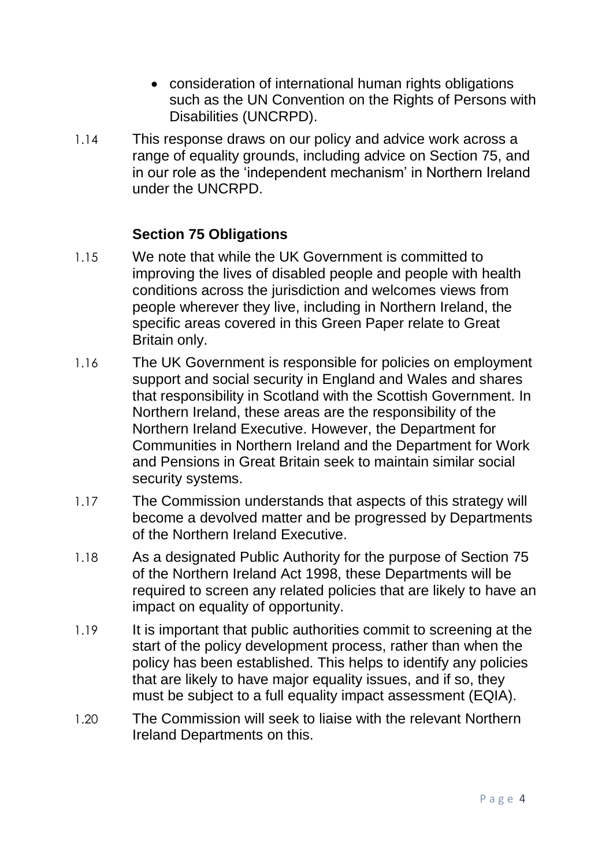- consideration of international human rights obligations such as the UN Convention on the Rights of Persons with Disabilities (UNCRPD).
- 1.14 This response draws on our policy and advice work across a range of equality grounds, including advice on Section 75, and in our role as the 'independent mechanism' in Northern Ireland under the UNCRPD.

#### **Section 75 Obligations**

- 1.15 We note that while the UK Government is committed to improving the lives of disabled people and people with health conditions across the jurisdiction and welcomes views from people wherever they live, including in Northern Ireland, the specific areas covered in this Green Paper relate to Great Britain only.
- 1.16 The UK Government is responsible for policies on employment support and social security in England and Wales and shares that responsibility in Scotland with the Scottish Government. In Northern Ireland, these areas are the responsibility of the Northern Ireland Executive. However, the Department for Communities in Northern Ireland and the Department for Work and Pensions in Great Britain seek to maintain similar social security systems.
- 1.17 The Commission understands that aspects of this strategy will become a devolved matter and be progressed by Departments of the Northern Ireland Executive.
- 1.18 As a designated Public Authority for the purpose of Section 75 of the Northern Ireland Act 1998, these Departments will be required to screen any related policies that are likely to have an impact on equality of opportunity.
- 1.19 It is important that public authorities commit to screening at the start of the policy development process, rather than when the policy has been established. This helps to identify any policies that are likely to have major equality issues, and if so, they must be subject to a full equality impact assessment (EQIA).
- 1.20 The Commission will seek to liaise with the relevant Northern Ireland Departments on this.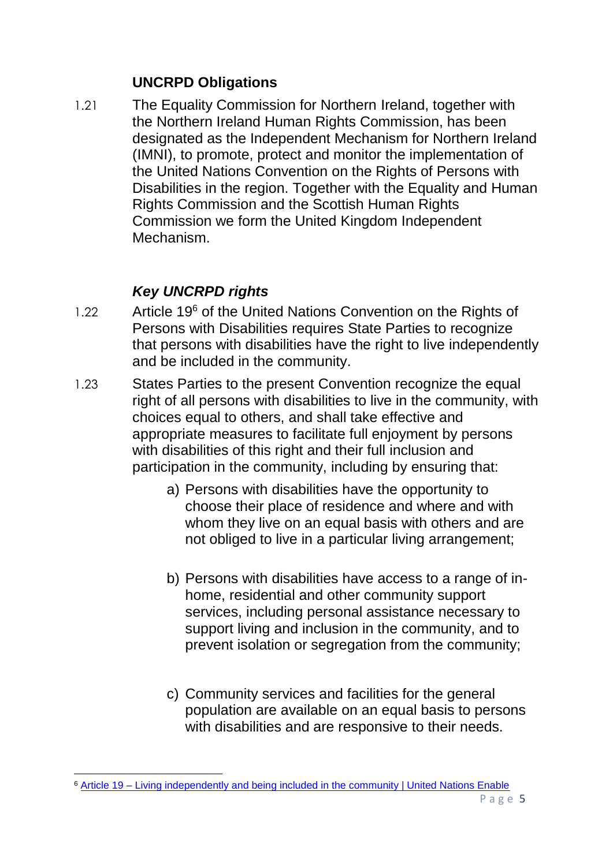#### **UNCRPD Obligations**

1.21 The Equality Commission for Northern Ireland, together with the Northern Ireland Human Rights Commission, has been designated as the Independent Mechanism for Northern Ireland (IMNI), to promote, protect and monitor the implementation of the United Nations Convention on the Rights of Persons with Disabilities in the region. Together with the Equality and Human Rights Commission and the Scottish Human Rights Commission we form the United Kingdom Independent Mechanism.

# *Key UNCRPD rights*

- 1.22 Article 19<sup>6</sup> of the United Nations Convention on the Rights of Persons with Disabilities requires State Parties to recognize that persons with disabilities have the right to live independently and be included in the community.
- 1.23 States Parties to the present Convention recognize the equal right of all persons with disabilities to live in the community, with choices equal to others, and shall take effective and appropriate measures to facilitate full enjoyment by persons with disabilities of this right and their full inclusion and participation in the community, including by ensuring that:
	- a) Persons with disabilities have the opportunity to choose their place of residence and where and with whom they live on an equal basis with others and are not obliged to live in a particular living arrangement;
	- b) Persons with disabilities have access to a range of inhome, residential and other community support services, including personal assistance necessary to support living and inclusion in the community, and to prevent isolation or segregation from the community;
	- c) Community services and facilities for the general population are available on an equal basis to persons with disabilities and are responsive to their needs.

<sup>1</sup> <sup>6</sup> Article 19 – [Living independently and being included in the community | United Nations Enable](https://www.un.org/development/desa/disabilities/convention-on-the-rights-of-persons-with-disabilities/article-19-living-independently-and-being-included-in-the-community.html)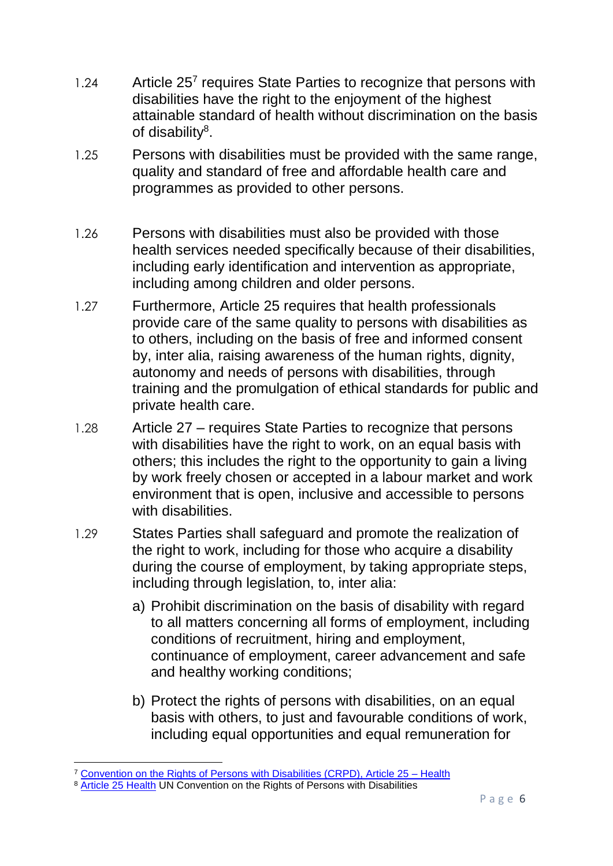- 1.24 Article 25<sup>7</sup> requires State Parties to recognize that persons with disabilities have the right to the enjoyment of the highest attainable standard of health without discrimination on the basis of disability<sup>8</sup>.
- 1.25 Persons with disabilities must be provided with the same range, quality and standard of free and affordable health care and programmes as provided to other persons.
- 1.26 Persons with disabilities must also be provided with those health services needed specifically because of their disabilities, including early identification and intervention as appropriate, including among children and older persons.
- 1.27 Furthermore, Article 25 requires that health professionals provide care of the same quality to persons with disabilities as to others, including on the basis of free and informed consent by, inter alia, raising awareness of the human rights, dignity, autonomy and needs of persons with disabilities, through training and the promulgation of ethical standards for public and private health care.
- 1.28 Article 27 requires State Parties to recognize that persons with disabilities have the right to work, on an equal basis with others; this includes the right to the opportunity to gain a living by work freely chosen or accepted in a labour market and work environment that is open, inclusive and accessible to persons with disabilities.
- 1.29 States Parties shall safeguard and promote the realization of the right to work, including for those who acquire a disability during the course of employment, by taking appropriate steps, including through legislation, to, inter alia:
	- a) Prohibit discrimination on the basis of disability with regard to all matters concerning all forms of employment, including conditions of recruitment, hiring and employment, continuance of employment, career advancement and safe and healthy working conditions;
	- b) Protect the rights of persons with disabilities, on an equal basis with others, to just and favourable conditions of work, including equal opportunities and equal remuneration for

**<sup>.</sup>** <sup>7</sup> [Convention on the Rights of Persons with Disabilities \(CRPD\), Article 25 –](https://www.un.org/development/desa/disabilities/convention-on-the-rights-of-persons-with-disabilities/article-25-health.html) Health

<sup>8</sup> [Article 25 Health](https://www.un.org/development/desa/disabilities/convention-on-the-rights-of-persons-with-disabilities/article-25-health.html) UN Convention on the Rights of Persons with Disabilities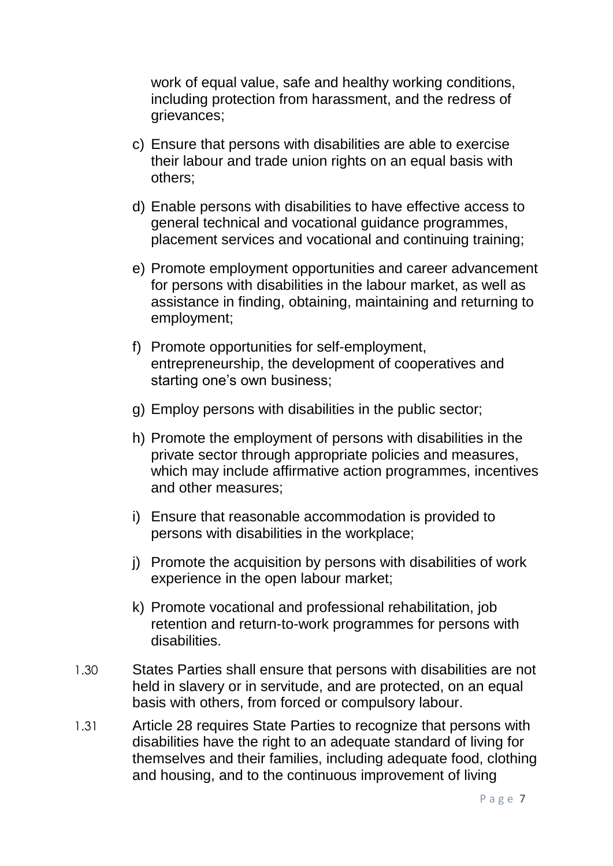work of equal value, safe and healthy working conditions, including protection from harassment, and the redress of grievances;

- c) Ensure that persons with disabilities are able to exercise their labour and trade union rights on an equal basis with others;
- d) Enable persons with disabilities to have effective access to general technical and vocational guidance programmes, placement services and vocational and continuing training;
- e) Promote employment opportunities and career advancement for persons with disabilities in the labour market, as well as assistance in finding, obtaining, maintaining and returning to employment;
- f) Promote opportunities for self-employment, entrepreneurship, the development of cooperatives and starting one's own business;
- g) Employ persons with disabilities in the public sector;
- h) Promote the employment of persons with disabilities in the private sector through appropriate policies and measures, which may include affirmative action programmes, incentives and other measures;
- i) Ensure that reasonable accommodation is provided to persons with disabilities in the workplace;
- j) Promote the acquisition by persons with disabilities of work experience in the open labour market;
- k) Promote vocational and professional rehabilitation, job retention and return-to-work programmes for persons with disabilities.
- 1.30 States Parties shall ensure that persons with disabilities are not held in slavery or in servitude, and are protected, on an equal basis with others, from forced or compulsory labour.
- 1.31 Article 28 requires State Parties to recognize that persons with disabilities have the right to an adequate standard of living for themselves and their families, including adequate food, clothing and housing, and to the continuous improvement of living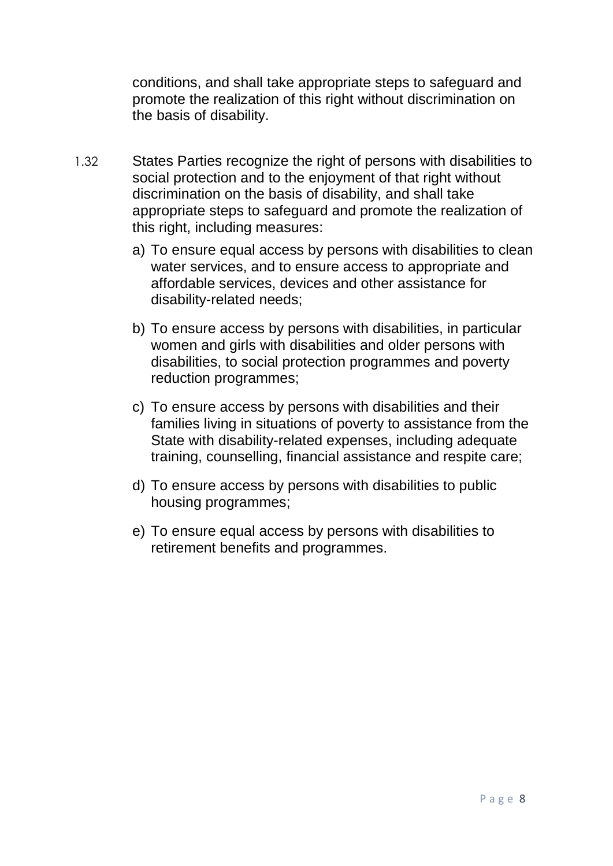conditions, and shall take appropriate steps to safeguard and promote the realization of this right without discrimination on the basis of disability.

- 1.32 States Parties recognize the right of persons with disabilities to social protection and to the enjoyment of that right without discrimination on the basis of disability, and shall take appropriate steps to safeguard and promote the realization of this right, including measures:
	- a) To ensure equal access by persons with disabilities to clean water services, and to ensure access to appropriate and affordable services, devices and other assistance for disability-related needs;
	- b) To ensure access by persons with disabilities, in particular women and girls with disabilities and older persons with disabilities, to social protection programmes and poverty reduction programmes;
	- c) To ensure access by persons with disabilities and their families living in situations of poverty to assistance from the State with disability-related expenses, including adequate training, counselling, financial assistance and respite care;
	- d) To ensure access by persons with disabilities to public housing programmes;
	- e) To ensure equal access by persons with disabilities to retirement benefits and programmes.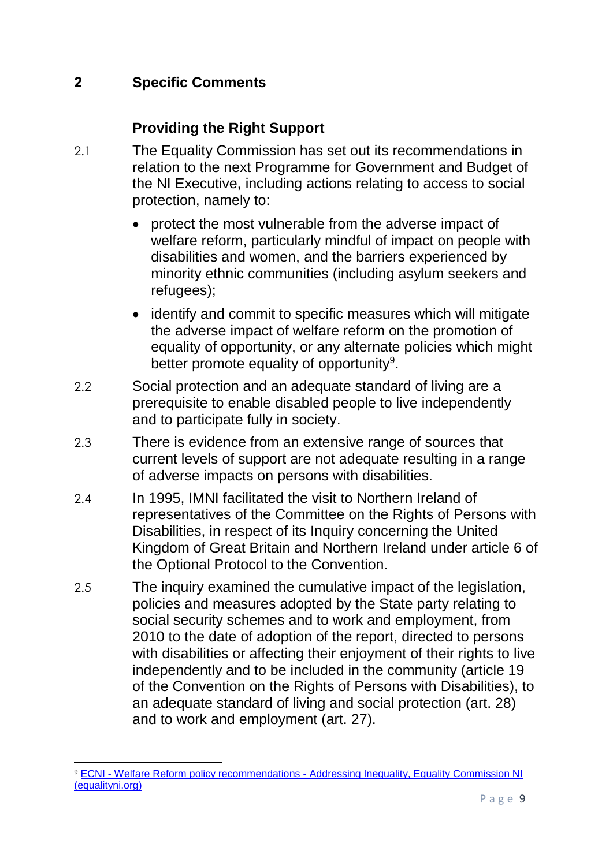### **2 Specific Comments**

#### **Providing the Right Support**

- 2.1 The Equality Commission has set out its recommendations in relation to the next Programme for Government and Budget of the NI Executive, including actions relating to access to social protection, namely to:
	- protect the most vulnerable from the adverse impact of welfare reform, particularly mindful of impact on people with disabilities and women, and the barriers experienced by minority ethnic communities (including asylum seekers and refugees);
	- identify and commit to specific measures which will mitigate the adverse impact of welfare reform on the promotion of equality of opportunity, or any alternate policies which might better promote equality of opportunity<sup>9</sup>.
- 2.2 Social protection and an adequate standard of living are a prerequisite to enable disabled people to live independently and to participate fully in society.
- 2.3 There is evidence from an extensive range of sources that current levels of support are not adequate resulting in a range of adverse impacts on persons with disabilities.
- 2.4 In 1995, IMNI facilitated the visit to Northern Ireland of representatives of the Committee on the Rights of Persons with Disabilities, in respect of its Inquiry concerning the United Kingdom of Great Britain and Northern Ireland under article 6 of the Optional Protocol to the Convention.
- 2.5 The inquiry examined the cumulative impact of the legislation, policies and measures adopted by the State party relating to social security schemes and to work and employment, from 2010 to the date of adoption of the report, directed to persons with disabilities or affecting their enjoyment of their rights to live independently and to be included in the community (article 19 of the Convention on the Rights of Persons with Disabilities), to an adequate standard of living and social protection (art. 28) and to work and employment (art. 27).

**<sup>.</sup>** <sup>9</sup> ECNI - Welfare Reform policy recommendations - [Addressing Inequality, Equality Commission NI](https://www.equalityni.org/WelfareReformPolicy)  [\(equalityni.org\)](https://www.equalityni.org/WelfareReformPolicy)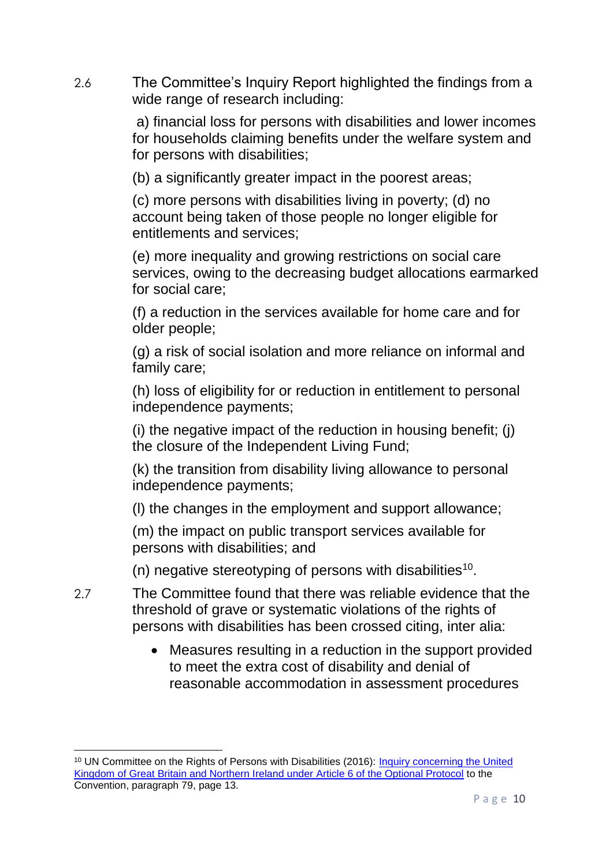2.6 The Committee's Inquiry Report highlighted the findings from a wide range of research including:

> a) financial loss for persons with disabilities and lower incomes for households claiming benefits under the welfare system and for persons with disabilities;

(b) a significantly greater impact in the poorest areas;

(c) more persons with disabilities living in poverty; (d) no account being taken of those people no longer eligible for entitlements and services;

(e) more inequality and growing restrictions on social care services, owing to the decreasing budget allocations earmarked for social care;

(f) a reduction in the services available for home care and for older people;

(g) a risk of social isolation and more reliance on informal and family care;

(h) loss of eligibility for or reduction in entitlement to personal independence payments;

(i) the negative impact of the reduction in housing benefit; (j) the closure of the Independent Living Fund;

(k) the transition from disability living allowance to personal independence payments;

(l) the changes in the employment and support allowance;

(m) the impact on public transport services available for persons with disabilities; and

(n) negative stereotyping of persons with disabilities<sup>10</sup>.

- 2.7 The Committee found that there was reliable evidence that the threshold of grave or systematic violations of the rights of persons with disabilities has been crossed citing, inter alia:
	- Measures resulting in a reduction in the support provided to meet the extra cost of disability and denial of reasonable accommodation in assessment procedures

<sup>&</sup>lt;sup>10</sup> UN Committee on the Rights of Persons with Disabilities (2016): Inquiry concerning the United [Kingdom of Great Britain and Northern Ireland under Article 6 of the Optional Protocol](https://www.equalityni.org/ECNI/media/ECNI/Publications/Delivering%20Equality/UNCRPD-CommReport_on_UK.pdf) to the Convention, paragraph 79, page 13.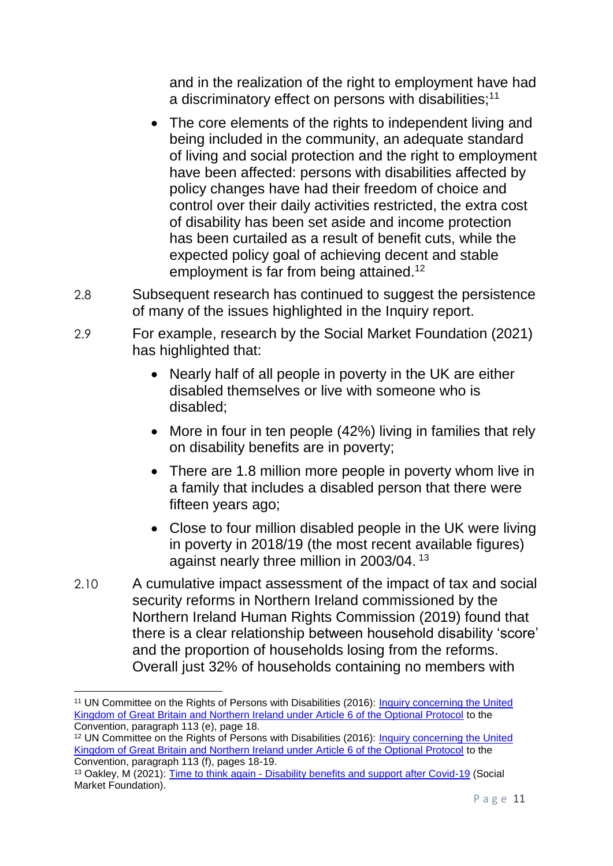and in the realization of the right to employment have had a discriminatory effect on persons with disabilities;<sup>11</sup>

- The core elements of the rights to independent living and being included in the community, an adequate standard of living and social protection and the right to employment have been affected: persons with disabilities affected by policy changes have had their freedom of choice and control over their daily activities restricted, the extra cost of disability has been set aside and income protection has been curtailed as a result of benefit cuts, while the expected policy goal of achieving decent and stable employment is far from being attained.<sup>12</sup>
- 2.8 Subsequent research has continued to suggest the persistence of many of the issues highlighted in the Inquiry report.
- 2.9 For example, research by the Social Market Foundation (2021) has highlighted that:
	- Nearly half of all people in poverty in the UK are either disabled themselves or live with someone who is disabled;
	- More in four in ten people (42%) living in families that rely on disability benefits are in poverty;
	- There are 1.8 million more people in poverty whom live in a family that includes a disabled person that there were fifteen years ago;
	- Close to four million disabled people in the UK were living in poverty in 2018/19 (the most recent available figures) against nearly three million in 2003/04.<sup>13</sup>
- 2.10 A cumulative impact assessment of the impact of tax and social security reforms in Northern Ireland commissioned by the Northern Ireland Human Rights Commission (2019) found that there is a clear relationship between household disability 'score' and the proportion of households losing from the reforms. Overall just 32% of households containing no members with

**<sup>.</sup>** <sup>11</sup> UN Committee on the Rights of Persons with Disabilities (2016): [Inquiry concerning the United](https://www.equalityni.org/ECNI/media/ECNI/Publications/Delivering%20Equality/UNCRPD-CommReport_on_UK.pdf)  [Kingdom of Great Britain and Northern Ireland under Article 6 of the Optional Protocol](https://www.equalityni.org/ECNI/media/ECNI/Publications/Delivering%20Equality/UNCRPD-CommReport_on_UK.pdf) to the Convention, paragraph 113 (e), page 18.

<sup>&</sup>lt;sup>12</sup> UN Committee on the Rights of Persons with Disabilities (2016): Inquiry concerning the United [Kingdom of Great Britain and Northern Ireland under Article 6 of the Optional Protocol](https://www.equalityni.org/ECNI/media/ECNI/Publications/Delivering%20Equality/UNCRPD-CommReport_on_UK.pdf) to the Convention, paragraph 113 (f), pages 18-19.

<sup>13</sup> Oakley, M (2021): Time to think again - [Disability benefits and support after Covid-19](https://www.smf.co.uk/wp-content/uploads/2021/02/Time-to-think-again-Feb-21.pdf) (Social Market Foundation).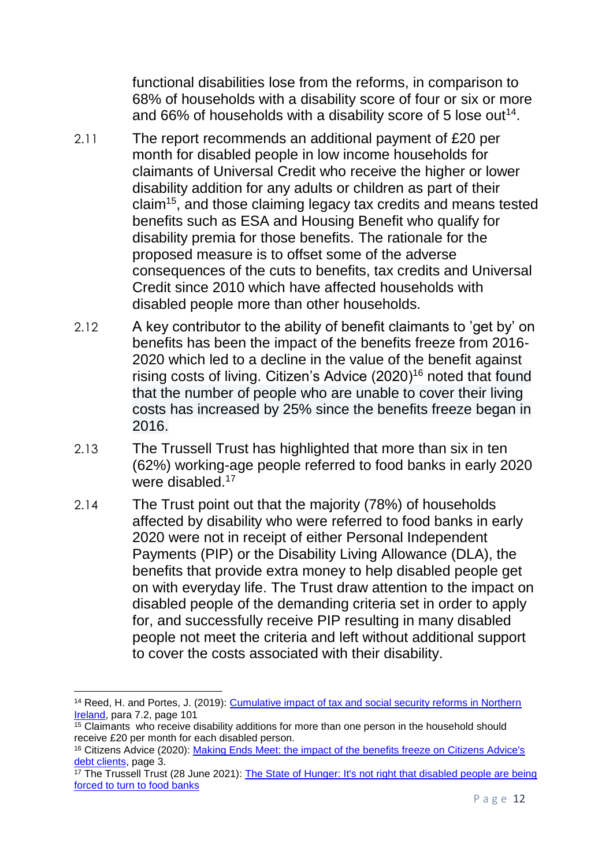functional disabilities lose from the reforms, in comparison to 68% of households with a disability score of four or six or more and 66% of households with a disability score of 5 lose out<sup>14</sup>.

- 2.11 The report recommends an additional payment of £20 per month for disabled people in low income households for claimants of Universal Credit who receive the higher or lower disability addition for any adults or children as part of their claim<sup>15</sup>, and those claiming legacy tax credits and means tested benefits such as ESA and Housing Benefit who qualify for disability premia for those benefits. The rationale for the proposed measure is to offset some of the adverse consequences of the cuts to benefits, tax credits and Universal Credit since 2010 which have affected households with disabled people more than other households.
- 2.12 A key contributor to the ability of benefit claimants to 'get by' on benefits has been the impact of the benefits freeze from 2016- 2020 which led to a decline in the value of the benefit against rising costs of living. Citizen's Advice (2020)<sup>16</sup> noted that found that the number of people who are unable to cover their living costs has increased by 25% since the benefits freeze began in 2016.
- 2.13 The Trussell Trust has highlighted that more than six in ten (62%) working-age people referred to food banks in early 2020 were disabled.<sup>17</sup>
- 2.14 The Trust point out that the majority (78%) of households affected by disability who were referred to food banks in early 2020 were not in receipt of either Personal Independent Payments (PIP) or the Disability Living Allowance (DLA), the benefits that provide extra money to help disabled people get on with everyday life. The Trust draw attention to the impact on disabled people of the demanding criteria set in order to apply for, and successfully receive PIP resulting in many disabled people not meet the criteria and left without additional support to cover the costs associated with their disability.

**<sup>.</sup>** <sup>14</sup> Reed, H. and Portes, J. (2019): Cumulative impact of tax and social security reforms in Northern [Ireland,](https://nihrc.org/uploads/publications/Final_CIA_report_Oct_2019.pdf#:~:text=The%20Northern%20Ireland%20Human%20Rights%20Commission%20%28NIHRC%29%20commissioned,some%20of%20the%20negative%20impacts%20of%20the%20reforms.) para 7.2, page 101

 $\frac{15}{15}$  Claimants who receive disability additions for more than one person in the household should receive £20 per month for each disabled person.

<sup>16</sup> Citizens Advice (2020): [Making Ends Meet: the impact of the benefits freeze on Citizens Advice's](https://www.citizensadvice.org.uk/Global/CitizensAdvice/welfare%20publications/Making%20Ends%20Meet%20-%20The%20impact%20of%20the%20benefits%20freeze%20on%20people%20in%20debt%20%20(1).pdf)  [debt clients,](https://www.citizensadvice.org.uk/Global/CitizensAdvice/welfare%20publications/Making%20Ends%20Meet%20-%20The%20impact%20of%20the%20benefits%20freeze%20on%20people%20in%20debt%20%20(1).pdf) page 3.

<sup>&</sup>lt;sup>17</sup> The Trussell Trust (28 June 2021): The State of Hunger: It's not right that disabled people are being [forced to turn to food banks](https://www.trusselltrust.org/2021/06/28/the-state-of-hunger-its-not-right-that-disabled-people-are-being-forced-to-turn-to-food-banks/)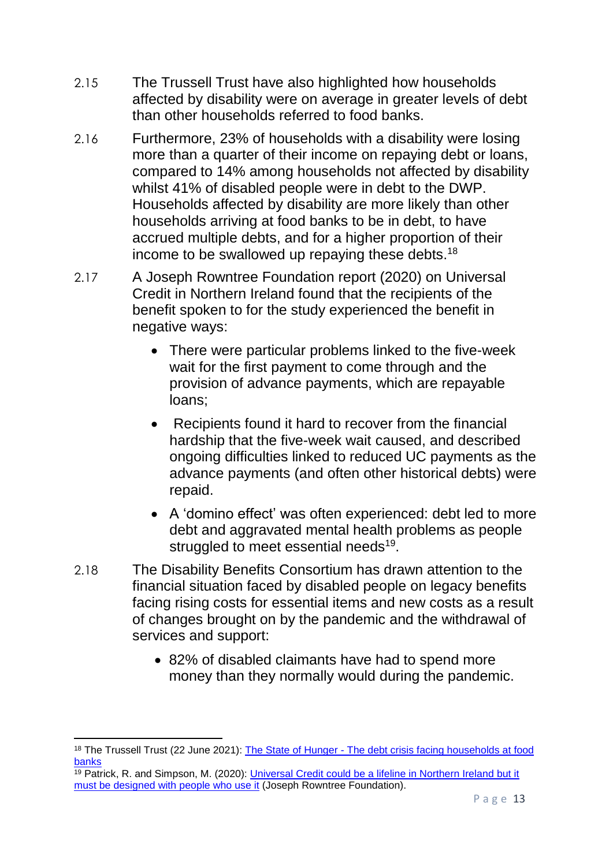- 2.15 The Trussell Trust have also highlighted how households affected by disability were on average in greater levels of debt than other households referred to food banks.
- 2.16 Furthermore, 23% of households with a disability were losing more than a quarter of their income on repaying debt or loans, compared to 14% among households not affected by disability whilst 41% of disabled people were in debt to the DWP. Households affected by disability are more likely than other households arriving at food banks to be in debt, to have accrued multiple debts, and for a higher proportion of their income to be swallowed up repaying these debts.<sup>18</sup>
- 2.17 A Joseph Rowntree Foundation report (2020) on Universal Credit in Northern Ireland found that the recipients of the benefit spoken to for the study experienced the benefit in negative ways:
	- There were particular problems linked to the five-week wait for the first payment to come through and the provision of advance payments, which are repayable loans;
	- Recipients found it hard to recover from the financial hardship that the five-week wait caused, and described ongoing difficulties linked to reduced UC payments as the advance payments (and often other historical debts) were repaid.
	- A 'domino effect' was often experienced: debt led to more debt and aggravated mental health problems as people struggled to meet essential needs<sup>19</sup>.
- 2.18 The Disability Benefits Consortium has drawn attention to the financial situation faced by disabled people on legacy benefits facing rising costs for essential items and new costs as a result of changes brought on by the pandemic and the withdrawal of services and support:
	- 82% of disabled claimants have had to spend more money than they normally would during the pandemic.

<sup>1</sup> <sup>18</sup> The Trussell Trust (22 June 2021): The State of Hunger - The debt crisis facing households at food [banks](https://www.trusselltrust.org/2021/06/22/the-state-of-hunger-the-debt-crisis-facing-households-at-food-banks/)

 $\frac{19}{19}$  Patrick, R. and Simpson, M. (2020): Universal Credit could be a lifeline in Northern Ireland but it [must be designed with](https://www.jrf.org.uk/report/universal-credit-could-be-lifeline-northern-ireland-it-must-be-designed-people-who-use-it) people who use it (Joseph Rowntree Foundation).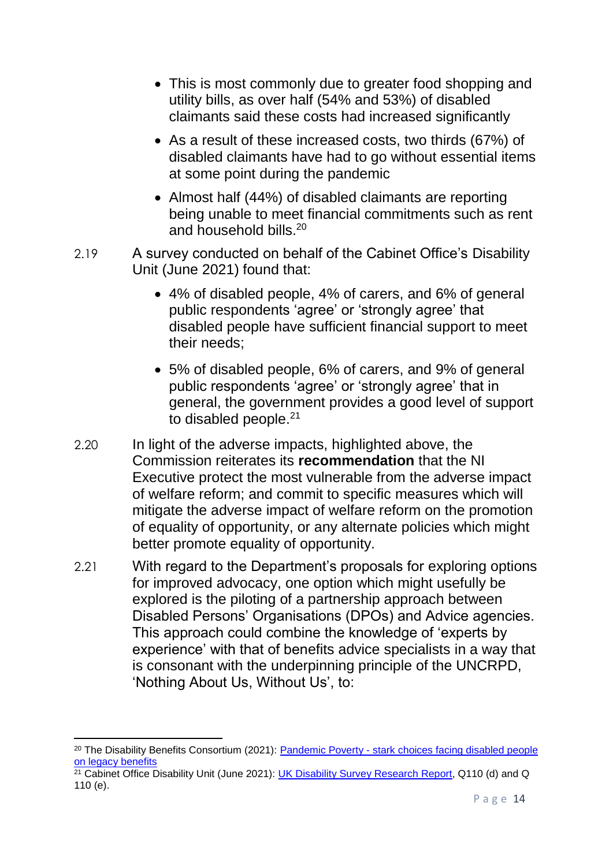- This is most commonly due to greater food shopping and utility bills, as over half (54% and 53%) of disabled claimants said these costs had increased significantly
- As a result of these increased costs, two thirds (67%) of disabled claimants have had to go without essential items at some point during the pandemic
- Almost half (44%) of disabled claimants are reporting being unable to meet financial commitments such as rent and household bills.<sup>20</sup>
- 2.19 A survey conducted on behalf of the Cabinet Office's Disability Unit (June 2021) found that:
	- 4% of disabled people, 4% of carers, and 6% of general public respondents 'agree' or 'strongly agree' that disabled people have sufficient financial support to meet their needs;
	- 5% of disabled people, 6% of carers, and 9% of general public respondents 'agree' or 'strongly agree' that in general, the government provides a good level of support to disabled people.<sup>21</sup>
- 2.20 In light of the adverse impacts, highlighted above, the Commission reiterates its **recommendation** that the NI Executive protect the most vulnerable from the adverse impact of welfare reform; and commit to specific measures which will mitigate the adverse impact of welfare reform on the promotion of equality of opportunity, or any alternate policies which might better promote equality of opportunity.
- 2.21 With regard to the Department's proposals for exploring options for improved advocacy, one option which might usefully be explored is the piloting of a partnership approach between Disabled Persons' Organisations (DPOs) and Advice agencies. This approach could combine the knowledge of 'experts by experience' with that of benefits advice specialists in a way that is consonant with the underpinning principle of the UNCRPD, 'Nothing About Us, Without Us', to:

1

<sup>20</sup> The Disability Benefits Consortium (2021): Pandemic Poverty - [stark choices facing disabled people](file://///equality.local/root/Data1/PUBLIC%20POLICY/ConsultationResponses/B_ConsultationsAndResponses/DfC/2021-Health&DisabilityGreenPaper/2-ECNI-WorkingDocs/MS%20Society%20External%20template%20(wordpress.com))  [on legacy benefits](file://///equality.local/root/Data1/PUBLIC%20POLICY/ConsultationResponses/B_ConsultationsAndResponses/DfC/2021-Health&DisabilityGreenPaper/2-ECNI-WorkingDocs/MS%20Society%20External%20template%20(wordpress.com))

 $21$  Cabinet Office Disability Unit (June 2021): [UK Disability Survey Research Report,](https://www.gov.uk/government/publications/uk-disability-survey-research-report-june-2021/uk-disability-survey-research-report-june-2021) Q110 (d) and Q 110 (e).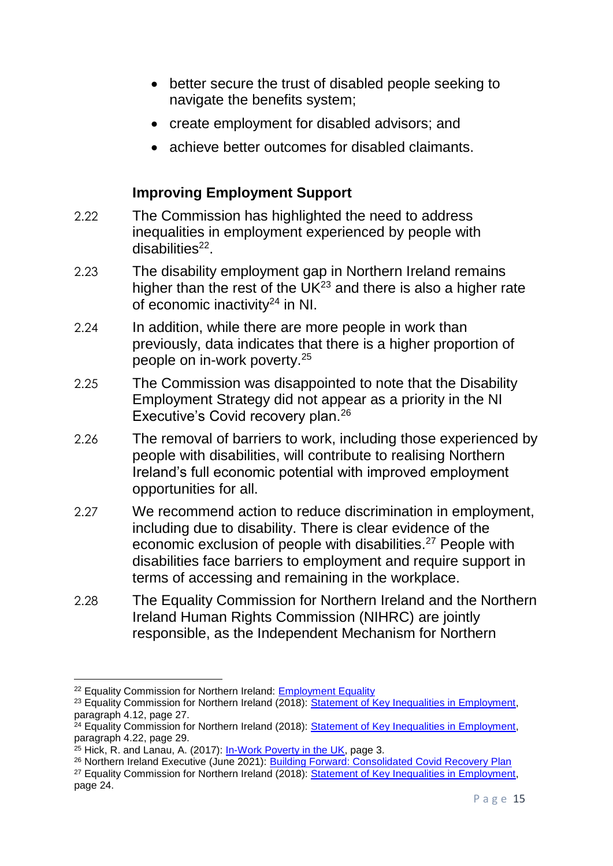- better secure the trust of disabled people seeking to navigate the benefits system;
- create employment for disabled advisors; and
- achieve better outcomes for disabled claimants.

#### **Improving Employment Support**

- 2.22 The Commission has highlighted the need to address inequalities in employment experienced by people with disabilities<sup>22</sup>.
- 2.23 The disability employment gap in Northern Ireland remains higher than the rest of the  $UK^{23}$  and there is also a higher rate of economic inactivity<sup>24</sup> in NI.
- 2.24 In addition, while there are more people in work than previously, data indicates that there is a higher proportion of people on in-work poverty. 25
- 2.25 The Commission was disappointed to note that the Disability Employment Strategy did not appear as a priority in the NI Executive's Covid recovery plan.<sup>26</sup>
- 2.26 The removal of barriers to work, including those experienced by people with disabilities, will contribute to realising Northern Ireland's full economic potential with improved employment opportunities for all.
- 2.27 We recommend action to reduce discrimination in employment, including due to disability. There is clear evidence of the economic exclusion of people with disabilities.<sup>27</sup> People with disabilities face barriers to employment and require support in terms of accessing and remaining in the workplace.
- 2.28 The Equality Commission for Northern Ireland and the Northern Ireland Human Rights Commission (NIHRC) are jointly responsible, as the Independent Mechanism for Northern

<sup>&</sup>lt;sup>22</sup> Equality Commission for Northern Ireland: **Employment Equality** 

<sup>&</sup>lt;sup>23</sup> Equality Commission for Northern Ireland (2018): [Statement of Key Inequalities in Employment,](https://www.equalityni.org/ECNI/media/ECNI/Publications/Delivering%20Equality/Employment-KeyInequalitiesStatement.pdf) paragraph 4.12, page 27.

 $24$  Equality Commission for Northern Ireland (2018): [Statement of Key Inequalities in Employment,](https://www.equalityni.org/ECNI/media/ECNI/Publications/Delivering%20Equality/Employment-KeyInequalitiesStatement.pdf) paragraph 4.22, page 29.

 $25$  Hick, R, and Lanau, A, (2017): [In-Work Poverty in the UK,](https://www.nuffieldfoundation.org/sites/default/files/files/Hick%20and%20Lanau%20_%20In-Work%20Poverty%20in%20the%20UK.pdf) page 3.

<sup>&</sup>lt;sup>26</sup> Northern Ireland Executive (June 2021): [Building Forward: Consolidated Covid Recovery Plan](https://www.executiveoffice-ni.gov.uk/sites/default/files/publications/execoffice/consolidated-covid-19-recovery-plan.pdf)

<sup>&</sup>lt;sup>27</sup> Equality Commission for Northern Ireland (2018): [Statement of Key Inequalities in Employment,](https://www.equalityni.org/ECNI/media/ECNI/Publications/Delivering%20Equality/Employment-KeyInequalitiesStatement.pdf) page 24.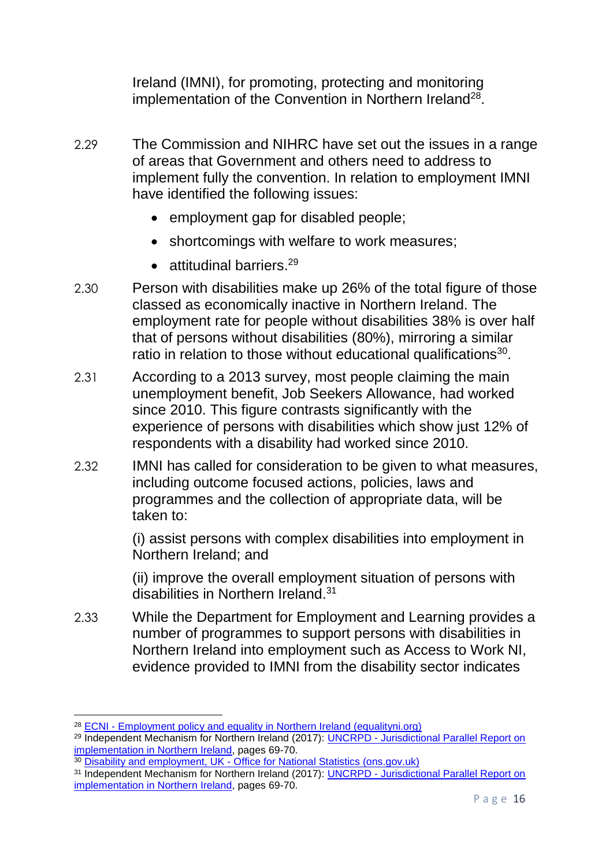Ireland (IMNI), for promoting, protecting and monitoring implementation of the Convention in Northern Ireland<sup>28</sup>.

- 2.29 The Commission and NIHRC have set out the issues in a range of areas that Government and others need to address to implement fully the convention. In relation to employment IMNI have identified the following issues:
	- employment gap for disabled people;
	- shortcomings with welfare to work measures;
	- attitudinal barriers.<sup>29</sup>
- 2.30 Person with disabilities make up 26% of the total figure of those classed as economically inactive in Northern Ireland. The employment rate for people without disabilities 38% is over half that of persons without disabilities (80%), mirroring a similar ratio in relation to those without educational qualifications<sup>30</sup>.
- 2.31 According to a 2013 survey, most people claiming the main unemployment benefit, Job Seekers Allowance, had worked since 2010. This figure contrasts significantly with the experience of persons with disabilities which show just 12% of respondents with a disability had worked since 2010.
- 2.32 IMNI has called for consideration to be given to what measures, including outcome focused actions, policies, laws and programmes and the collection of appropriate data, will be taken to:

(i) assist persons with complex disabilities into employment in Northern Ireland; and

(ii) improve the overall employment situation of persons with disabilities in Northern Ireland.<sup>31</sup>

2.33 While the Department for Employment and Learning provides a number of programmes to support persons with disabilities in Northern Ireland into employment such as Access to Work NI, evidence provided to IMNI from the disability sector indicates

<sup>28</sup> ECNI - [Employment policy and equality in Northern Ireland \(equalityni.org\)](https://www.equalityni.org/Delivering-Equality/Addressing-inequality/Employment/Policy)

<sup>&</sup>lt;sup>29</sup> Independent Mechanism for Northern Ireland (2017): UNCRPD - Jurisdictional Parallel Report on [implementation in Northern Ireland,](https://www.equalityni.org/ECNI/media/ECNI/Publications/Delivering%20Equality/IMNI_CRPD_ParallelJurisdictionalReport_WorkingPaper(Aug17).pdf) pages 69-70.

<sup>&</sup>lt;sup>30</sup> Disability and employment, UK - [Office for National Statistics \(ons.gov.uk\)](https://www.ons.gov.uk/peoplepopulationandcommunity/healthandsocialcare/disability/bulletins/disabilityandemploymentuk/2019#:~:text=However%2C%20Northern%20Ireland%20had%20the,disparity%20(42.3%20percentage%20points).)

<sup>31</sup> Independent Mechanism for Northern Ireland (2017): UNCRPD - [Jurisdictional Parallel Report on](https://www.equalityni.org/ECNI/media/ECNI/Publications/Delivering%20Equality/IMNI_CRPD_ParallelJurisdictionalReport_WorkingPaper(Aug17).pdf)  [implementation in Northern Ireland,](https://www.equalityni.org/ECNI/media/ECNI/Publications/Delivering%20Equality/IMNI_CRPD_ParallelJurisdictionalReport_WorkingPaper(Aug17).pdf) pages 69-70.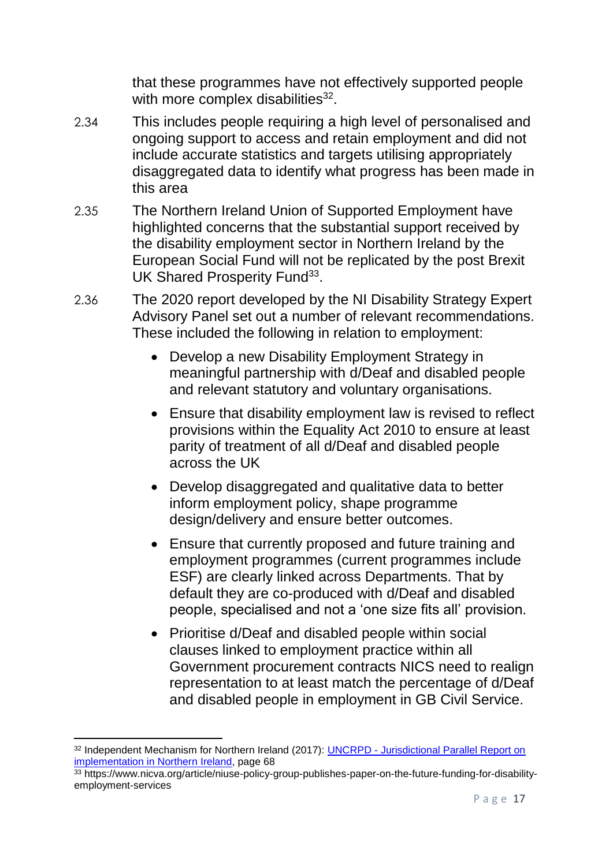that these programmes have not effectively supported people with more complex disabilities $32$ .

- 2.34 This includes people requiring a high level of personalised and ongoing support to access and retain employment and did not include accurate statistics and targets utilising appropriately disaggregated data to identify what progress has been made in this area
- 2.35 The Northern Ireland Union of Supported Employment have highlighted concerns that the substantial support received by the disability employment sector in Northern Ireland by the European Social Fund will not be replicated by the post Brexit UK Shared Prosperity Fund<sup>33</sup>.
- 2.36 The 2020 report developed by the NI Disability Strategy Expert Advisory Panel set out a number of relevant recommendations. These included the following in relation to employment:
	- Develop a new Disability Employment Strategy in meaningful partnership with d/Deaf and disabled people and relevant statutory and voluntary organisations.
	- Ensure that disability employment law is revised to reflect provisions within the Equality Act 2010 to ensure at least parity of treatment of all d/Deaf and disabled people across the UK
	- Develop disaggregated and qualitative data to better inform employment policy, shape programme design/delivery and ensure better outcomes.
	- Ensure that currently proposed and future training and employment programmes (current programmes include ESF) are clearly linked across Departments. That by default they are co-produced with d/Deaf and disabled people, specialised and not a 'one size fits all' provision.
	- Prioritise d/Deaf and disabled people within social clauses linked to employment practice within all Government procurement contracts NICS need to realign representation to at least match the percentage of d/Deaf and disabled people in employment in GB Civil Service.

<sup>1</sup> <sup>32</sup> Independent Mechanism for Northern Ireland (2017): UNCRPD - Jurisdictional Parallel Report on [implementation in Northern Ireland,](https://www.equalityni.org/ECNI/media/ECNI/Publications/Delivering%20Equality/IMNI_CRPD_ParallelJurisdictionalReport_WorkingPaper(Aug17).pdf) page 68

<sup>33</sup> https://www.nicva.org/article/niuse-policy-group-publishes-paper-on-the-future-funding-for-disabilityemployment-services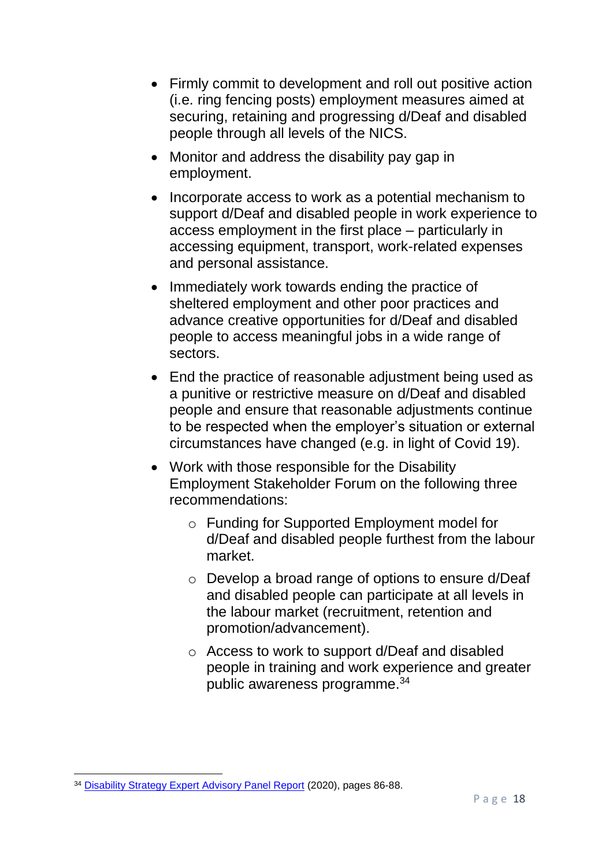- Firmly commit to development and roll out positive action (i.e. ring fencing posts) employment measures aimed at securing, retaining and progressing d/Deaf and disabled people through all levels of the NICS.
- Monitor and address the disability pay gap in employment.
- Incorporate access to work as a potential mechanism to support d/Deaf and disabled people in work experience to access employment in the first place – particularly in accessing equipment, transport, work-related expenses and personal assistance.
- Immediately work towards ending the practice of sheltered employment and other poor practices and advance creative opportunities for d/Deaf and disabled people to access meaningful jobs in a wide range of sectors.
- End the practice of reasonable adjustment being used as a punitive or restrictive measure on d/Deaf and disabled people and ensure that reasonable adjustments continue to be respected when the employer's situation or external circumstances have changed (e.g. in light of Covid 19).
- Work with those responsible for the Disability Employment Stakeholder Forum on the following three recommendations:
	- o Funding for Supported Employment model for d/Deaf and disabled people furthest from the labour market.
	- o Develop a broad range of options to ensure d/Deaf and disabled people can participate at all levels in the labour market (recruitment, retention and promotion/advancement).
	- o Access to work to support d/Deaf and disabled people in training and work experience and greater public awareness programme.<sup>34</sup>

<sup>1</sup> <sup>34</sup> [Disability Strategy Expert Advisory Panel Report](https://www.communities-ni.gov.uk/system/files/publications/communities/dfc-social-inclusion-strategy-disability-expert-advisory-panel-report.pdf) (2020), pages 86-88.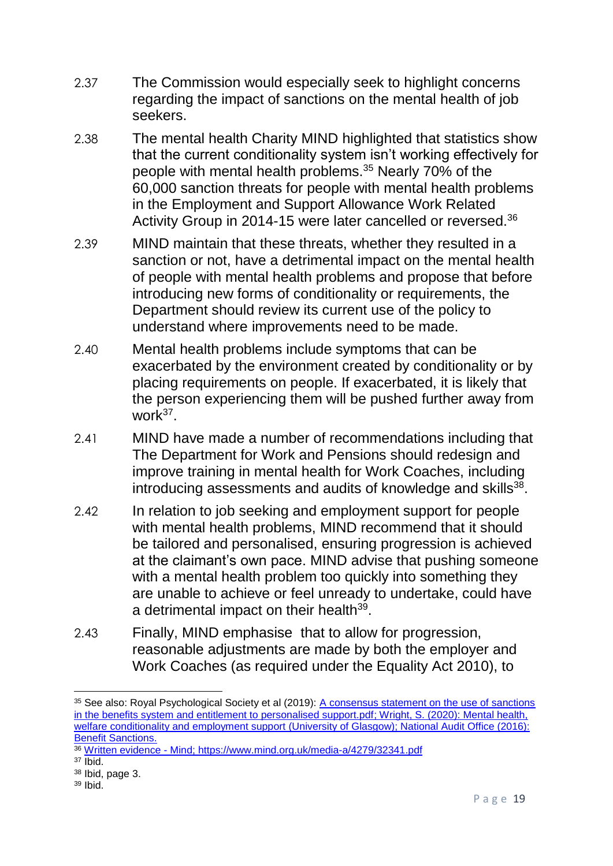- 2.37 The Commission would especially seek to highlight concerns regarding the impact of sanctions on the mental health of job seekers.
- 2.38 The mental health Charity MIND highlighted that statistics show that the current conditionality system isn't working effectively for people with mental health problems.<sup>35</sup> Nearly 70% of the 60,000 sanction threats for people with mental health problems in the Employment and Support Allowance Work Related Activity Group in 2014-15 were later cancelled or reversed.<sup>36</sup>
- 2.39 MIND maintain that these threats, whether they resulted in a sanction or not, have a detrimental impact on the mental health of people with mental health problems and propose that before introducing new forms of conditionality or requirements, the Department should review its current use of the policy to understand where improvements need to be made.
- 2.40 Mental health problems include symptoms that can be exacerbated by the environment created by conditionality or by placing requirements on people. If exacerbated, it is likely that the person experiencing them will be pushed further away from work<sup>37</sup>.
- 2.41 MIND have made a number of recommendations including that The Department for Work and Pensions should redesign and improve training in mental health for Work Coaches, including introducing assessments and audits of knowledge and skills<sup>38</sup>.
- 2.42 In relation to job seeking and employment support for people with mental health problems, MIND recommend that it should be tailored and personalised, ensuring progression is achieved at the claimant's own pace. MIND advise that pushing someone with a mental health problem too quickly into something they are unable to achieve or feel unready to undertake, could have a detrimental impact on their health<sup>39</sup>.
- 2.43 Finally, MIND emphasise that to allow for progression, reasonable adjustments are made by both the employer and Work Coaches (as required under the Equality Act 2010), to

**<sup>.</sup>** <sup>35</sup> See also: Royal Psychological Society et al (2019): A consensus statement on the use of sanctions [in the benefits system and entitlement to personalised support.pdf;](file:///P:/PUBLIC%20POLICY/Projects/Welfare%20Reform/Sanctions/BPS%20statement%20on%20welfare%20sanctions%20and%20mental%20health%202019/A%20consensus%20statement%20on%20the%20use%20of%20sanctions%20in%20the%20benefits%20system%20and%20entitlement%20to%20personalised%20support.pdf) Wright, S. (2020): [Mental health,](http://eprints.gla.ac.uk/224227/)  [welfare conditionality and employment support](http://eprints.gla.ac.uk/224227/) (University of Glasgow); National Audit Office (2016): [Benefit Sanctions.](https://www.nao.org.uk/wp-content/uploads/2016/11/Benefit-sanctions.pdf)

<sup>36</sup> [Written evidence -](https://www.mind.org.uk/media-a/4278/26980.pdf) Mind;<https://www.mind.org.uk/media-a/4279/32341.pdf>

 $37$  Ibid.

<sup>38</sup> Ibid, page 3.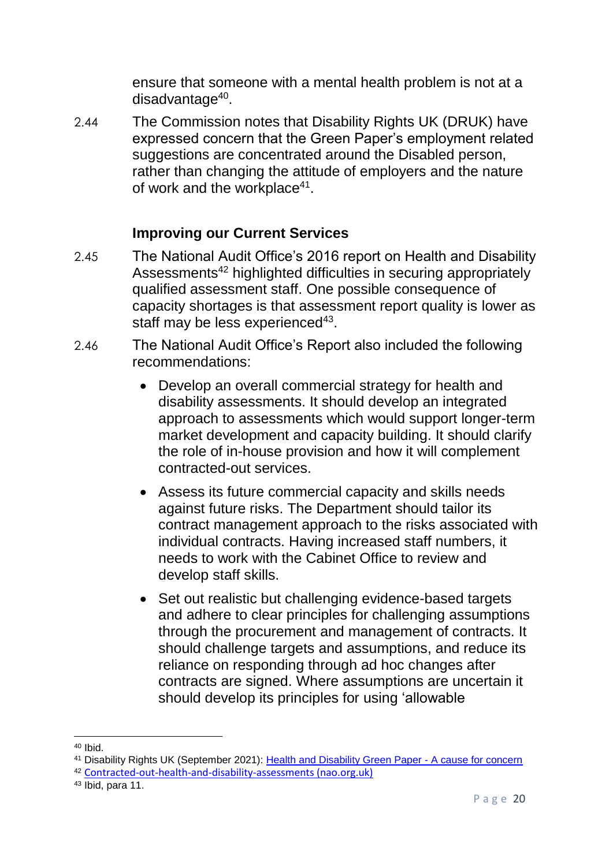ensure that someone with a mental health problem is not at a disadvantage<sup>40</sup>.

2.44 The Commission notes that Disability Rights UK (DRUK) have expressed concern that the Green Paper's employment related suggestions are concentrated around the Disabled person, rather than changing the attitude of employers and the nature of work and the workplace<sup>41</sup>.

### **Improving our Current Services**

- 2.45 The National Audit Office's 2016 report on Health and Disability Assessments<sup>42</sup> highlighted difficulties in securing appropriately qualified assessment staff. One possible consequence of capacity shortages is that assessment report quality is lower as staff may be less experienced<sup>43</sup>.
- 2.46 The National Audit Office's Report also included the following recommendations:
	- Develop an overall commercial strategy for health and disability assessments. It should develop an integrated approach to assessments which would support longer-term market development and capacity building. It should clarify the role of in-house provision and how it will complement contracted-out services.
	- Assess its future commercial capacity and skills needs against future risks. The Department should tailor its contract management approach to the risks associated with individual contracts. Having increased staff numbers, it needs to work with the Cabinet Office to review and develop staff skills.
	- Set out realistic but challenging evidence-based targets and adhere to clear principles for challenging assumptions through the procurement and management of contracts. It should challenge targets and assumptions, and reduce its reliance on responding through ad hoc changes after contracts are signed. Where assumptions are uncertain it should develop its principles for using 'allowable

**<sup>.</sup>** <sup>40</sup> Ibid.

<sup>41</sup> Disability Rights UK (September 2021): [Health and Disability Green Paper -](https://www.disabilityrightsuk.org/news/2021/september/health-and-disability-green-paper-%E2%80%93-cause-concern) A cause for concern

<sup>42</sup> [Contracted-out-health-and-disability-assessments \(nao.org.uk\)](https://www.nao.org.uk/wp-content/uploads/2016/01/Contracted-out-health-and-disability-assessments.pdf)

<sup>43</sup> Ibid, para 11.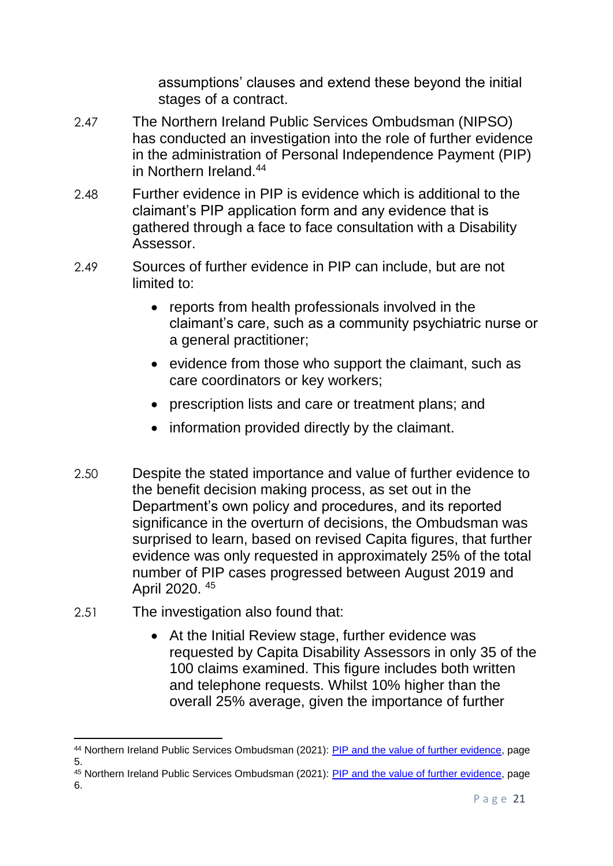assumptions' clauses and extend these beyond the initial stages of a contract.

- 2.47 The Northern Ireland Public Services Ombudsman (NIPSO) has conducted an investigation into the role of further evidence in the administration of Personal Independence Payment (PIP) in Northern Ireland<sup>44</sup>
- 2.48 Further evidence in PIP is evidence which is additional to the claimant's PIP application form and any evidence that is gathered through a face to face consultation with a Disability Assessor.
- 2.49 Sources of further evidence in PIP can include, but are not limited to:
	- reports from health professionals involved in the claimant's care, such as a community psychiatric nurse or a general practitioner;
	- evidence from those who support the claimant, such as care coordinators or key workers;
	- prescription lists and care or treatment plans; and
	- information provided directly by the claimant.
- 2.50 Despite the stated importance and value of further evidence to the benefit decision making process, as set out in the Department's own policy and procedures, and its reported significance in the overturn of decisions, the Ombudsman was surprised to learn, based on revised Capita figures, that further evidence was only requested in approximately 25% of the total number of PIP cases progressed between August 2019 and April 2020. <sup>45</sup>
- 2.51 The investigation also found that:
	- At the Initial Review stage, further evidence was requested by Capita Disability Assessors in only 35 of the 100 claims examined. This figure includes both written and telephone requests. Whilst 10% higher than the overall 25% average, given the importance of further

<sup>1</sup> <sup>44</sup> Northern Ireland Public Services Ombudsman (2021): [PIP and the value of further evidence,](https://nipso.org.uk/site/wp-content/uploads/2021/06/NIPSO-Own-Initiative-Full-report.pdf) page 5.

<sup>45</sup> Northern Ireland Public Services Ombudsman (2021): [PIP and the value of further evidence,](https://nipso.org.uk/site/wp-content/uploads/2021/06/NIPSO-Own-Initiative-Full-report.pdf) page 6.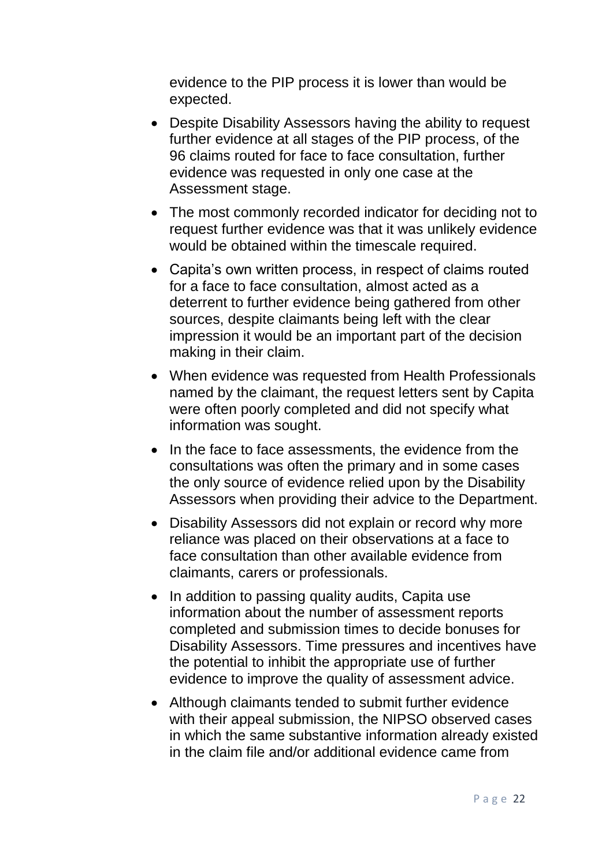evidence to the PIP process it is lower than would be expected.

- Despite Disability Assessors having the ability to request further evidence at all stages of the PIP process, of the 96 claims routed for face to face consultation, further evidence was requested in only one case at the Assessment stage.
- The most commonly recorded indicator for deciding not to request further evidence was that it was unlikely evidence would be obtained within the timescale required.
- Capita's own written process, in respect of claims routed for a face to face consultation, almost acted as a deterrent to further evidence being gathered from other sources, despite claimants being left with the clear impression it would be an important part of the decision making in their claim.
- When evidence was requested from Health Professionals named by the claimant, the request letters sent by Capita were often poorly completed and did not specify what information was sought.
- In the face to face assessments, the evidence from the consultations was often the primary and in some cases the only source of evidence relied upon by the Disability Assessors when providing their advice to the Department.
- Disability Assessors did not explain or record why more reliance was placed on their observations at a face to face consultation than other available evidence from claimants, carers or professionals.
- In addition to passing quality audits, Capita use information about the number of assessment reports completed and submission times to decide bonuses for Disability Assessors. Time pressures and incentives have the potential to inhibit the appropriate use of further evidence to improve the quality of assessment advice.
- Although claimants tended to submit further evidence with their appeal submission, the NIPSO observed cases in which the same substantive information already existed in the claim file and/or additional evidence came from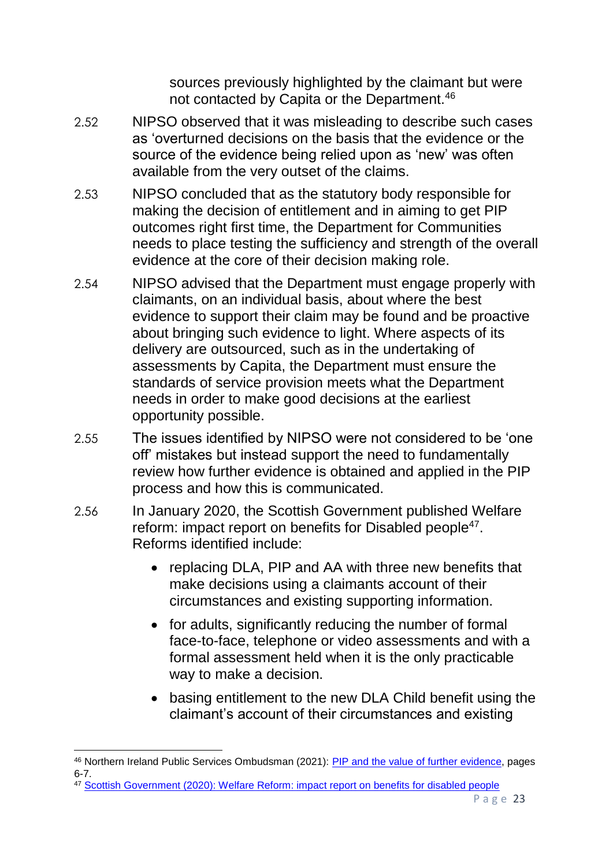sources previously highlighted by the claimant but were not contacted by Capita or the Department.<sup>46</sup>

- 2.52 NIPSO observed that it was misleading to describe such cases as 'overturned decisions on the basis that the evidence or the source of the evidence being relied upon as 'new' was often available from the very outset of the claims.
- 2.53 NIPSO concluded that as the statutory body responsible for making the decision of entitlement and in aiming to get PIP outcomes right first time, the Department for Communities needs to place testing the sufficiency and strength of the overall evidence at the core of their decision making role.
- 2.54 NIPSO advised that the Department must engage properly with claimants, on an individual basis, about where the best evidence to support their claim may be found and be proactive about bringing such evidence to light. Where aspects of its delivery are outsourced, such as in the undertaking of assessments by Capita, the Department must ensure the standards of service provision meets what the Department needs in order to make good decisions at the earliest opportunity possible.
- 2.55 The issues identified by NIPSO were not considered to be 'one off' mistakes but instead support the need to fundamentally review how further evidence is obtained and applied in the PIP process and how this is communicated.
- 2.56 In January 2020, the Scottish Government published Welfare reform: impact report on benefits for Disabled people<sup>47</sup>. Reforms identified include:
	- replacing DLA, PIP and AA with three new benefits that make decisions using a claimants account of their circumstances and existing supporting information.
	- for adults, significantly reducing the number of formal face-to-face, telephone or video assessments and with a formal assessment held when it is the only practicable way to make a decision.
	- basing entitlement to the new DLA Child benefit using the claimant's account of their circumstances and existing

<sup>47</sup> [Scottish Government \(2020\): Welfare Reform: impact report on benefits for disabled people](https://www.gov.scot/publications/welfare-reform-report-impact-welfare-reforms-disabled-people/)

<sup>&</sup>lt;sup>46</sup> Northern Ireland Public Services Ombudsman (2021): [PIP and the value of further](https://nipso.org.uk/site/wp-content/uploads/2021/06/NIPSO-Own-Initiative-Full-report.pdf) evidence, pages 6-7.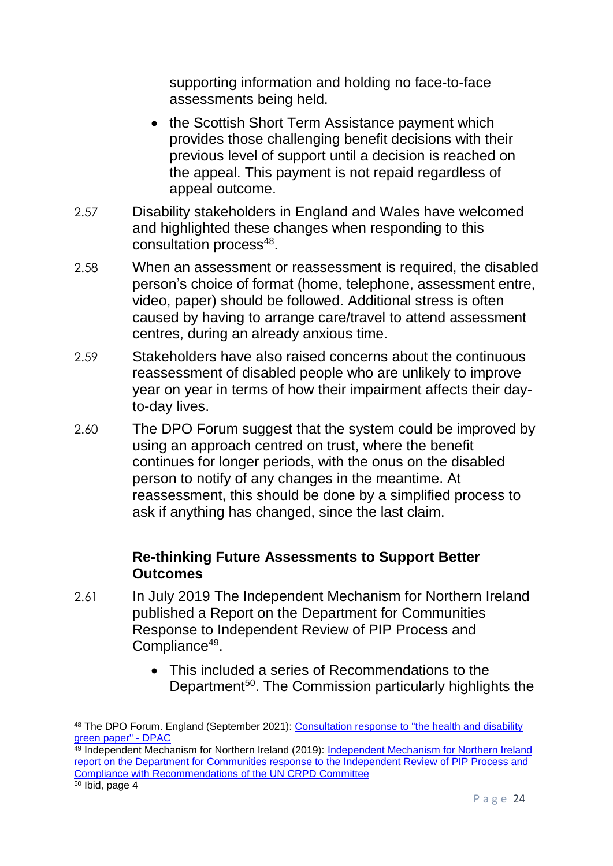supporting information and holding no face-to-face assessments being held.

- the Scottish Short Term Assistance payment which provides those challenging benefit decisions with their previous level of support until a decision is reached on the appeal. This payment is not repaid regardless of appeal outcome.
- 2.57 Disability stakeholders in England and Wales have welcomed and highlighted these changes when responding to this consultation process<sup>48</sup>.
- 2.58 When an assessment or reassessment is required, the disabled person's choice of format (home, telephone, assessment entre, video, paper) should be followed. Additional stress is often caused by having to arrange care/travel to attend assessment centres, during an already anxious time.
- 2.59 Stakeholders have also raised concerns about the continuous reassessment of disabled people who are unlikely to improve year on year in terms of how their impairment affects their dayto-day lives.
- 2.60 The DPO Forum suggest that the system could be improved by using an approach centred on trust, where the benefit continues for longer periods, with the onus on the disabled person to notify of any changes in the meantime. At reassessment, this should be done by a simplified process to ask if anything has changed, since the last claim.

#### **Re-thinking Future Assessments to Support Better Outcomes**

- 2.61 In July 2019 The Independent Mechanism for Northern Ireland published a Report on the Department for Communities Response to Independent Review of PIP Process and Compliance<sup>49</sup>.
	- This included a series of Recommendations to the Department<sup>50</sup>. The Commission particularly highlights the

<sup>48</sup> The DPO Forum. England (September 2021): [Consultation response to "the health and disability](https://dpac.uk.net/2021/09/the-dpo-forum-england-consultation-response-to-the-health-and-disability-green-paper/)  [green paper" -](https://dpac.uk.net/2021/09/the-dpo-forum-england-consultation-response-to-the-health-and-disability-green-paper/) DPAC

<sup>&</sup>lt;sup>49</sup> [Independent Mechanism for Northern Ireland](https://www.equalityni.org/ECNI/media/ECNI/Consultation%20Responses/2019/PIP-in-NI-IMNI-020719.pdf?ext=.pdf) (2019): Independent Mechanism for Northern Ireland [report on the Department for Communities response to the Independent Review of PIP Process and](https://www.equalityni.org/ECNI/media/ECNI/Consultation%20Responses/2019/PIP-in-NI-IMNI-020719.pdf?ext=.pdf)  [Compliance with Recommendations of the UN CRPD Committee](https://www.equalityni.org/ECNI/media/ECNI/Consultation%20Responses/2019/PIP-in-NI-IMNI-020719.pdf?ext=.pdf)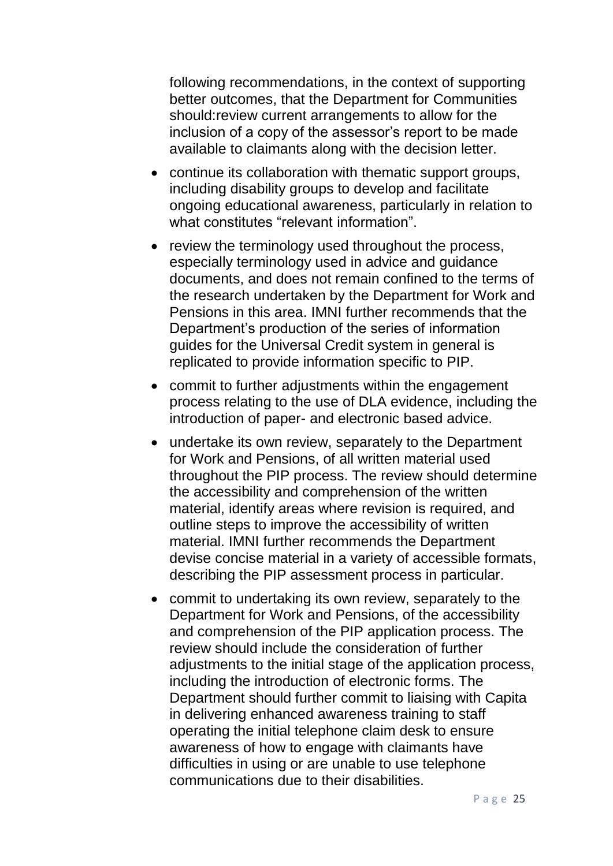following recommendations, in the context of supporting better outcomes, that the Department for Communities should:review current arrangements to allow for the inclusion of a copy of the assessor's report to be made available to claimants along with the decision letter.

- continue its collaboration with thematic support groups, including disability groups to develop and facilitate ongoing educational awareness, particularly in relation to what constitutes "relevant information"
- review the terminology used throughout the process, especially terminology used in advice and guidance documents, and does not remain confined to the terms of the research undertaken by the Department for Work and Pensions in this area. IMNI further recommends that the Department's production of the series of information guides for the Universal Credit system in general is replicated to provide information specific to PIP.
- commit to further adjustments within the engagement process relating to the use of DLA evidence, including the introduction of paper- and electronic based advice.
- undertake its own review, separately to the Department for Work and Pensions, of all written material used throughout the PIP process. The review should determine the accessibility and comprehension of the written material, identify areas where revision is required, and outline steps to improve the accessibility of written material. IMNI further recommends the Department devise concise material in a variety of accessible formats, describing the PIP assessment process in particular.
- commit to undertaking its own review, separately to the Department for Work and Pensions, of the accessibility and comprehension of the PIP application process. The review should include the consideration of further adjustments to the initial stage of the application process, including the introduction of electronic forms. The Department should further commit to liaising with Capita in delivering enhanced awareness training to staff operating the initial telephone claim desk to ensure awareness of how to engage with claimants have difficulties in using or are unable to use telephone communications due to their disabilities.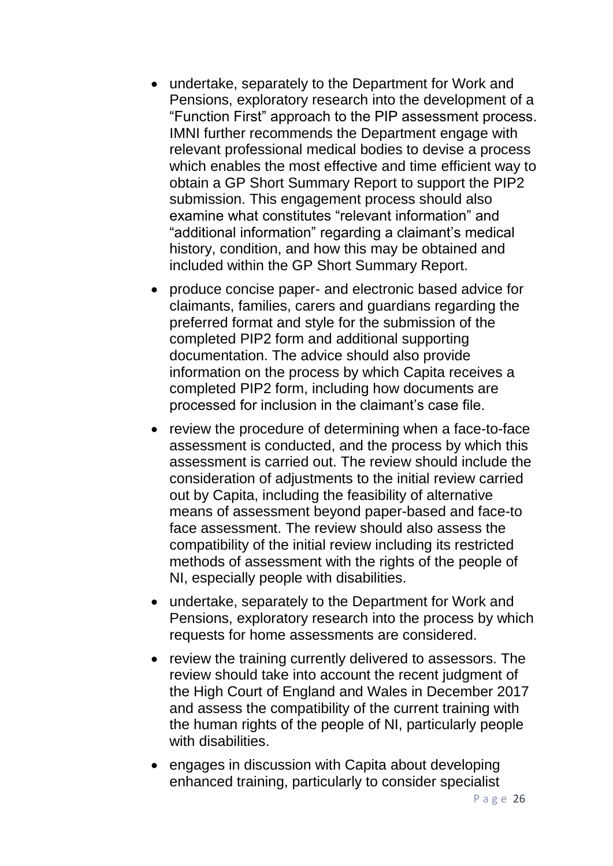- undertake, separately to the Department for Work and Pensions, exploratory research into the development of a "Function First" approach to the PIP assessment process. IMNI further recommends the Department engage with relevant professional medical bodies to devise a process which enables the most effective and time efficient way to obtain a GP Short Summary Report to support the PIP2 submission. This engagement process should also examine what constitutes "relevant information" and "additional information" regarding a claimant's medical history, condition, and how this may be obtained and included within the GP Short Summary Report.
- produce concise paper- and electronic based advice for claimants, families, carers and guardians regarding the preferred format and style for the submission of the completed PIP2 form and additional supporting documentation. The advice should also provide information on the process by which Capita receives a completed PIP2 form, including how documents are processed for inclusion in the claimant's case file.
- review the procedure of determining when a face-to-face assessment is conducted, and the process by which this assessment is carried out. The review should include the consideration of adjustments to the initial review carried out by Capita, including the feasibility of alternative means of assessment beyond paper-based and face-to face assessment. The review should also assess the compatibility of the initial review including its restricted methods of assessment with the rights of the people of NI, especially people with disabilities.
- undertake, separately to the Department for Work and Pensions, exploratory research into the process by which requests for home assessments are considered.
- review the training currently delivered to assessors. The review should take into account the recent judgment of the High Court of England and Wales in December 2017 and assess the compatibility of the current training with the human rights of the people of NI, particularly people with disabilities.
- engages in discussion with Capita about developing enhanced training, particularly to consider specialist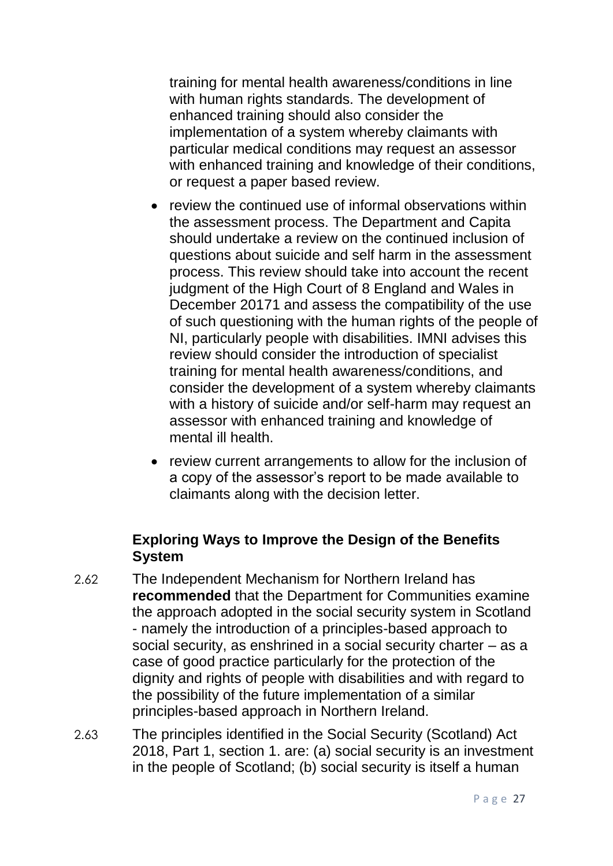training for mental health awareness/conditions in line with human rights standards. The development of enhanced training should also consider the implementation of a system whereby claimants with particular medical conditions may request an assessor with enhanced training and knowledge of their conditions, or request a paper based review.

- review the continued use of informal observations within the assessment process. The Department and Capita should undertake a review on the continued inclusion of questions about suicide and self harm in the assessment process. This review should take into account the recent judgment of the High Court of 8 England and Wales in December 20171 and assess the compatibility of the use of such questioning with the human rights of the people of NI, particularly people with disabilities. IMNI advises this review should consider the introduction of specialist training for mental health awareness/conditions, and consider the development of a system whereby claimants with a history of suicide and/or self-harm may request an assessor with enhanced training and knowledge of mental ill health.
- review current arrangements to allow for the inclusion of a copy of the assessor's report to be made available to claimants along with the decision letter.

#### **Exploring Ways to Improve the Design of the Benefits System**

- 2.62 The Independent Mechanism for Northern Ireland has **recommended** that the Department for Communities examine the approach adopted in the social security system in Scotland - namely the introduction of a principles-based approach to social security, as enshrined in a social security charter – as a case of good practice particularly for the protection of the dignity and rights of people with disabilities and with regard to the possibility of the future implementation of a similar principles-based approach in Northern Ireland.
- 2.63 The principles identified in the Social Security (Scotland) Act 2018, Part 1, section 1. are: (a) social security is an investment in the people of Scotland; (b) social security is itself a human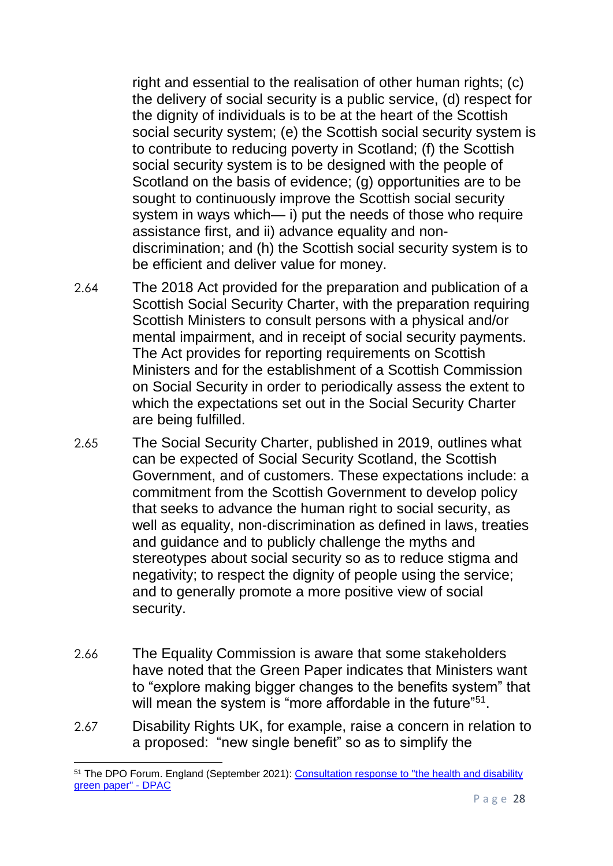right and essential to the realisation of other human rights; (c) the delivery of social security is a public service, (d) respect for the dignity of individuals is to be at the heart of the Scottish social security system; (e) the Scottish social security system is to contribute to reducing poverty in Scotland; (f) the Scottish social security system is to be designed with the people of Scotland on the basis of evidence; (g) opportunities are to be sought to continuously improve the Scottish social security system in ways which— i) put the needs of those who require assistance first, and ii) advance equality and nondiscrimination; and (h) the Scottish social security system is to be efficient and deliver value for money.

- 2.64 The 2018 Act provided for the preparation and publication of a Scottish Social Security Charter, with the preparation requiring Scottish Ministers to consult persons with a physical and/or mental impairment, and in receipt of social security payments. The Act provides for reporting requirements on Scottish Ministers and for the establishment of a Scottish Commission on Social Security in order to periodically assess the extent to which the expectations set out in the Social Security Charter are being fulfilled.
- 2.65 The Social Security Charter, published in 2019, outlines what can be expected of Social Security Scotland, the Scottish Government, and of customers. These expectations include: a commitment from the Scottish Government to develop policy that seeks to advance the human right to social security, as well as equality, non-discrimination as defined in laws, treaties and guidance and to publicly challenge the myths and stereotypes about social security so as to reduce stigma and negativity; to respect the dignity of people using the service; and to generally promote a more positive view of social security.
- 2.66 The Equality Commission is aware that some stakeholders have noted that the Green Paper indicates that Ministers want to "explore making bigger changes to the benefits system" that will mean the system is "more affordable in the future"<sup>51</sup>.
- 2.67 Disability Rights UK, for example, raise a concern in relation to a proposed: "new single benefit" so as to simplify the

**<sup>.</sup>** <sup>51</sup> The DPO Forum. England (September 2021): [Consultation response to "the health and disability](https://dpac.uk.net/2021/09/the-dpo-forum-england-consultation-response-to-the-health-and-disability-green-paper/)  [green paper" -](https://dpac.uk.net/2021/09/the-dpo-forum-england-consultation-response-to-the-health-and-disability-green-paper/) DPAC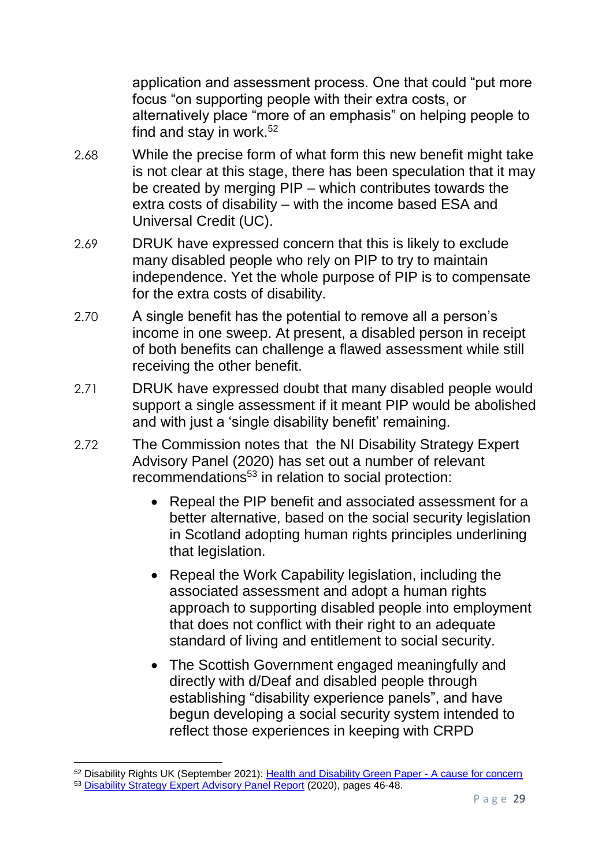application and assessment process. One that could "put more focus "on supporting people with their extra costs, or alternatively place "more of an emphasis" on helping people to find and stay in work.<sup>52</sup>

- 2.68 While the precise form of what form this new benefit might take is not clear at this stage, there has been speculation that it may be created by merging PIP – which contributes towards the extra costs of disability – with the income based ESA and Universal Credit (UC).
- 2.69 DRUK have expressed concern that this is likely to exclude many disabled people who rely on PIP to try to maintain independence. Yet the whole purpose of PIP is to compensate for the extra costs of disability.
- 2.70 A single benefit has the potential to remove all a person's income in one sweep. At present, a disabled person in receipt of both benefits can challenge a flawed assessment while still receiving the other benefit.
- 2.71 DRUK have expressed doubt that many disabled people would support a single assessment if it meant PIP would be abolished and with just a 'single disability benefit' remaining.
- 2.72 The Commission notes that the NI Disability Strategy Expert Advisory Panel (2020) has set out a number of relevant recommendations<sup>53</sup> in relation to social protection:
	- Repeal the PIP benefit and associated assessment for a better alternative, based on the social security legislation in Scotland adopting human rights principles underlining that legislation.
	- Repeal the Work Capability legislation, including the associated assessment and adopt a human rights approach to supporting disabled people into employment that does not conflict with their right to an adequate standard of living and entitlement to social security.
	- The Scottish Government engaged meaningfully and directly with d/Deaf and disabled people through establishing "disability experience panels", and have begun developing a social security system intended to reflect those experiences in keeping with CRPD

<sup>52</sup> Disability Rights UK (September 2021): [Health and Disability Green Paper -](https://www.disabilityrightsuk.org/news/2021/september/health-and-disability-green-paper-%E2%80%93-cause-concern) A cause for concern <sup>53</sup> [Disability Strategy Expert Advisory Panel Report](https://www.communities-ni.gov.uk/system/files/publications/communities/dfc-social-inclusion-strategy-disability-expert-advisory-panel-report.pdf) (2020), pages 46-48.